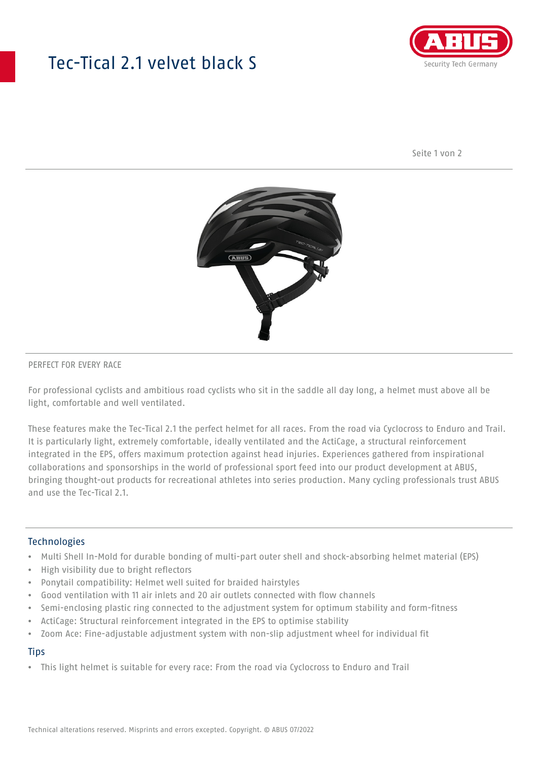## Tec-Tical 2.1 velvet black S



Seite 1 von 2



### PERFECT FOR EVERY RACE

For professional cyclists and ambitious road cyclists who sit in the saddle all day long, a helmet must above all be light, comfortable and well ventilated.

These features make the Tec-Tical 2.1 the perfect helmet for all races. From the road via Cyclocross to Enduro and Trail. It is particularly light, extremely comfortable, ideally ventilated and the ActiCage, a structural reinforcement integrated in the EPS, offers maximum protection against head injuries. Experiences gathered from inspirational collaborations and sponsorships in the world of professional sport feed into our product development at ABUS, bringing thought-out products for recreational athletes into series production. Many cycling professionals trust ABUS and use the Tec-Tical 2.1.

### Technologies

- Multi Shell In-Mold for durable bonding of multi-part outer shell and shock-absorbing helmet material (EPS)
- High visibility due to bright reflectors
- Ponytail compatibility: Helmet well suited for braided hairstyles
- Good ventilation with 11 air inlets and 20 air outlets connected with flow channels
- Semi-enclosing plastic ring connected to the adjustment system for optimum stability and form-fitness
- ActiCage: Structural reinforcement integrated in the EPS to optimise stability
- Zoom Ace: Fine-adjustable adjustment system with non-slip adjustment wheel for individual fit

### **Tips**

• This light helmet is suitable for every race: From the road via Cyclocross to Enduro and Trail